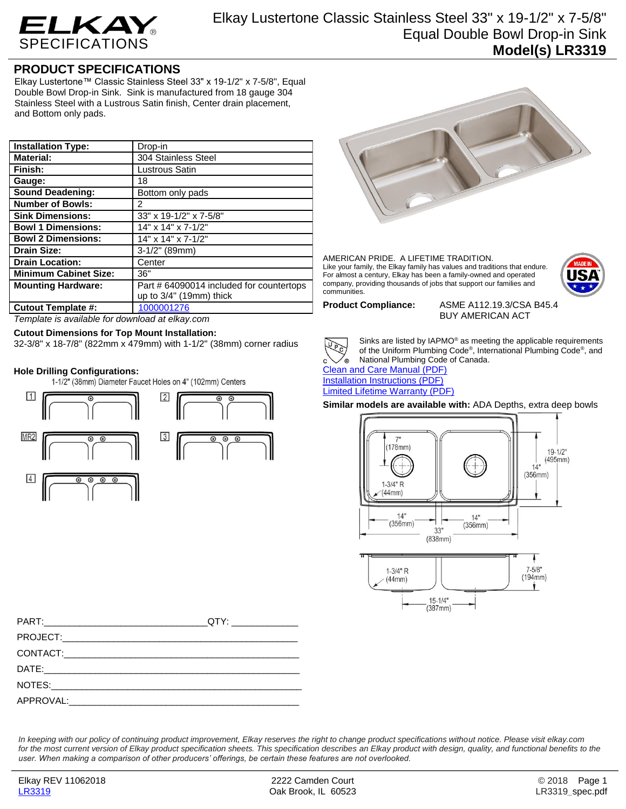

## **PRODUCT SPECIFICATIONS**

Elkay Lustertone™ Classic Stainless Steel 33" x 19-1/2" x 7-5/8", Equal Double Bowl Drop-in Sink. Sink is manufactured from 18 gauge 304 Stainless Steel with a Lustrous Satin finish, Center drain placement, and Bottom only pads.

| <b>Installation Type:</b>    | Drop-in                                  |
|------------------------------|------------------------------------------|
| <b>Material:</b>             | 304 Stainless Steel                      |
| Finish:                      | Lustrous Satin                           |
| Gauge:                       | 18                                       |
| <b>Sound Deadening:</b>      | Bottom only pads                         |
| <b>Number of Bowls:</b>      | 2                                        |
| <b>Sink Dimensions:</b>      | 33" x 19-1/2" x 7-5/8"                   |
| <b>Bowl 1 Dimensions:</b>    | 14" x 14" x 7-1/2"                       |
| <b>Bowl 2 Dimensions:</b>    | 14" x 14" x 7-1/2"                       |
| <b>Drain Size:</b>           | $3-1/2"$ (89mm)                          |
| <b>Drain Location:</b>       | Center                                   |
| <b>Minimum Cabinet Size:</b> | 36"                                      |
| <b>Mounting Hardware:</b>    | Part # 64090014 included for countertops |
|                              | up to $3/4$ " (19mm) thick               |
| <b>Cutout Template #:</b>    | 1000001276                               |

*Template is available for download at elkay.com*

## **Cutout Dimensions for Top Mount Installation:**

32-3/8" x 18-7/8" (822mm x 479mm) with 1-1/2" (38mm) corner radius

**Hole Drilling Configurations:**





AMERICAN PRIDE. A LIFETIME TRADITION. Like your family, the Elkay family has values and traditions that endure. For almost a century, Elkay has been a family-owned and operated company, providing thousands of jobs that support our families and communities.



**Product Compliance:** ASME A112.19.3/CSA B45.4 BUY AMERICAN ACT



Sinks are listed by IAPMO® as meeting the applicable requirements of the Uniform Plumbing Code®, International Plumbing Code®, and National Plumbing Code of Canada.

[Clean and Care Manual \(PDF\)](http://www.elkay.com/wcsstore/lkdocs/care-cleaning-install-warranty-sheets/residential%20and%20commercial%20care%20%20cleaning.pdf) [Installation Instructions \(PDF\)](http://www.elkay.com/wcsstore/lkdocs/care-cleaning-install-warranty-sheets/74180147.pdf)

Limited [Lifetime Warranty](http://www.elkay.com/wcsstore/lkdocs/care-cleaning-install-warranty-sheets/residential%20sinks%20warranty.pdf) (PDF)

**Similar models are available with:** ADA Depths, extra deep bowls



*In keeping with our policy of continuing product improvement, Elkay reserves the right to change product specifications without notice. Please visit elkay.com*  for the most current version of Elkay product specification sheets. This specification describes an Elkay product with design, quality, and functional benefits to the *user. When making a comparison of other producers' offerings, be certain these features are not overlooked.*